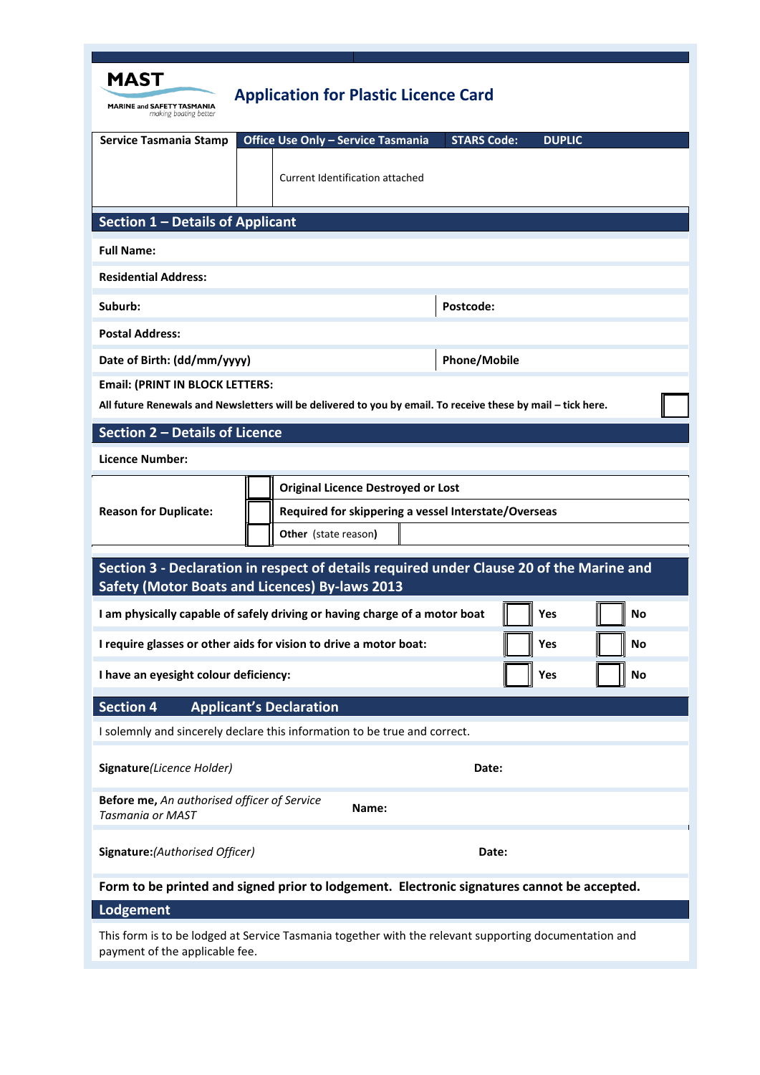| <b>MAST</b><br><b>MARINE and SAFETY TASMANIA</b><br>making boating better                                                                              | <b>Application for Plastic Licence Card</b>                                                                                                       |
|--------------------------------------------------------------------------------------------------------------------------------------------------------|---------------------------------------------------------------------------------------------------------------------------------------------------|
| <b>Service Tasmania Stamp</b>                                                                                                                          | Office Use Only - Service Tasmania<br><b>STARS Code:</b><br><b>DUPLIC</b>                                                                         |
|                                                                                                                                                        | <b>Current Identification attached</b>                                                                                                            |
| Section 1 - Details of Applicant                                                                                                                       |                                                                                                                                                   |
| <b>Full Name:</b>                                                                                                                                      |                                                                                                                                                   |
| <b>Residential Address:</b>                                                                                                                            |                                                                                                                                                   |
| Suburb:                                                                                                                                                | Postcode:                                                                                                                                         |
| <b>Postal Address:</b>                                                                                                                                 |                                                                                                                                                   |
| Date of Birth: (dd/mm/yyyy)                                                                                                                            | <b>Phone/Mobile</b>                                                                                                                               |
| <b>Email: (PRINT IN BLOCK LETTERS:</b><br>All future Renewals and Newsletters will be delivered to you by email. To receive these by mail - tick here. |                                                                                                                                                   |
| Section 2 - Details of Licence                                                                                                                         |                                                                                                                                                   |
| <b>Licence Number:</b>                                                                                                                                 |                                                                                                                                                   |
| <b>Reason for Duplicate:</b>                                                                                                                           | <b>Original Licence Destroyed or Lost</b><br>Required for skippering a vessel Interstate/Overseas<br>Other (state reason)                         |
|                                                                                                                                                        | Section 3 - Declaration in respect of details required under Clause 20 of the Marine and<br><b>Safety (Motor Boats and Licences) By-laws 2013</b> |
|                                                                                                                                                        | I am physically capable of safely driving or having charge of a motor boat<br>Yes<br>No                                                           |
|                                                                                                                                                        | I require glasses or other aids for vision to drive a motor boat:<br>Yes<br>No                                                                    |
| I have an eyesight colour deficiency:                                                                                                                  | Yes<br>No                                                                                                                                         |
| <b>Section 4</b>                                                                                                                                       | <b>Applicant's Declaration</b>                                                                                                                    |
|                                                                                                                                                        | I solemnly and sincerely declare this information to be true and correct.                                                                         |
| Signature(Licence Holder)                                                                                                                              | Date:                                                                                                                                             |
| Before me, An authorised officer of Service<br>Tasmania or MAST                                                                                        | Name:                                                                                                                                             |
| Signature: (Authorised Officer)                                                                                                                        | Date:                                                                                                                                             |
| Form to be printed and signed prior to lodgement. Electronic signatures cannot be accepted.                                                            |                                                                                                                                                   |
| Lodgement                                                                                                                                              |                                                                                                                                                   |
| payment of the applicable fee.                                                                                                                         | This form is to be lodged at Service Tasmania together with the relevant supporting documentation and                                             |